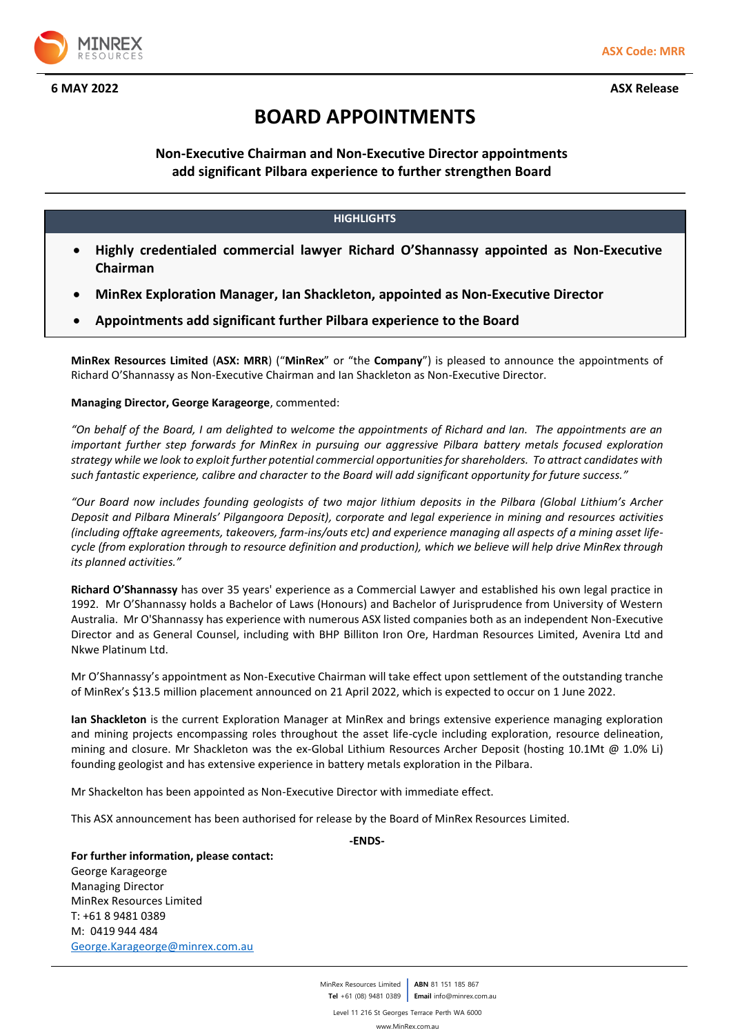

# **BOARD APPOINTMENTS**

# **Non-Executive Chairman and Non-Executive Director appointments add significant Pilbara experience to further strengthen Board**

## **HIGHLIGHTS**

- **Highly credentialed commercial lawyer Richard O'Shannassy appointed as Non-Executive Chairman**
- **MinRex Exploration Manager, Ian Shackleton, appointed as Non-Executive Director**
- **Appointments add significant further Pilbara experience to the Board**

**MinRex Resources Limited** (**ASX: MRR**) ("**MinRex**" or "the **Company**") is pleased to announce the appointments of Richard O'Shannassy as Non-Executive Chairman and Ian Shackleton as Non-Executive Director.

## **Managing Director, George Karageorge**, commented:

*"On behalf of the Board, I am delighted to welcome the appointments of Richard and Ian. The appointments are an important further step forwards for MinRex in pursuing our aggressive Pilbara battery metals focused exploration strategy while we look to exploit further potential commercial opportunities for shareholders. To attract candidates with such fantastic experience, calibre and character to the Board will add significant opportunity for future success."*

*"Our Board now includes founding geologists of two major lithium deposits in the Pilbara (Global Lithium's Archer Deposit and Pilbara Minerals' Pilgangoora Deposit), corporate and legal experience in mining and resources activities (including offtake agreements, takeovers, farm-ins/outs etc) and experience managing all aspects of a mining asset lifecycle (from exploration through to resource definition and production), which we believe will help drive MinRex through its planned activities."*

**Richard O'Shannassy** has over 35 years' experience as a Commercial Lawyer and established his own legal practice in 1992. Mr O'Shannassy holds a Bachelor of Laws (Honours) and Bachelor of Jurisprudence from University of Western Australia. Mr O'Shannassy has experience with numerous ASX listed companies both as an independent Non-Executive Director and as General Counsel, including with BHP Billiton Iron Ore, Hardman Resources Limited, Avenira Ltd and Nkwe Platinum Ltd.

Mr O'Shannassy's appointment as Non-Executive Chairman will take effect upon settlement of the outstanding tranche of MinRex's \$13.5 million placement announced on 21 April 2022, which is expected to occur on 1 June 2022.

**Ian Shackleton** is the current Exploration Manager at MinRex and brings extensive experience managing exploration and mining projects encompassing roles throughout the asset life-cycle including exploration, resource delineation, mining and closure. Mr Shackleton was the ex-Global Lithium Resources Archer Deposit (hosting 10.1Mt @ 1.0% Li) founding geologist and has extensive experience in battery metals exploration in the Pilbara.

Mr Shackelton has been appointed as Non-Executive Director with immediate effect.

This ASX announcement has been authorised for release by the Board of MinRex Resources Limited.

## **-ENDS-**

**For further information, please contact:**

George Karageorge Managing Director MinRex Resources Limited T: +61 8 9481 0389 M: 0419 944 484 [George.Karageorge@minrex.com.au](mailto:George.Karageorge@minrex.com.au)

> MinRex Resources Limited **ABN** 81 151 185 867 **Tel** +61 (08) 9481 0389 **Email** info@minrex.com.au

Level 11 216 St Georges Terrace Perth WA 6000

www.MinRex.com.au